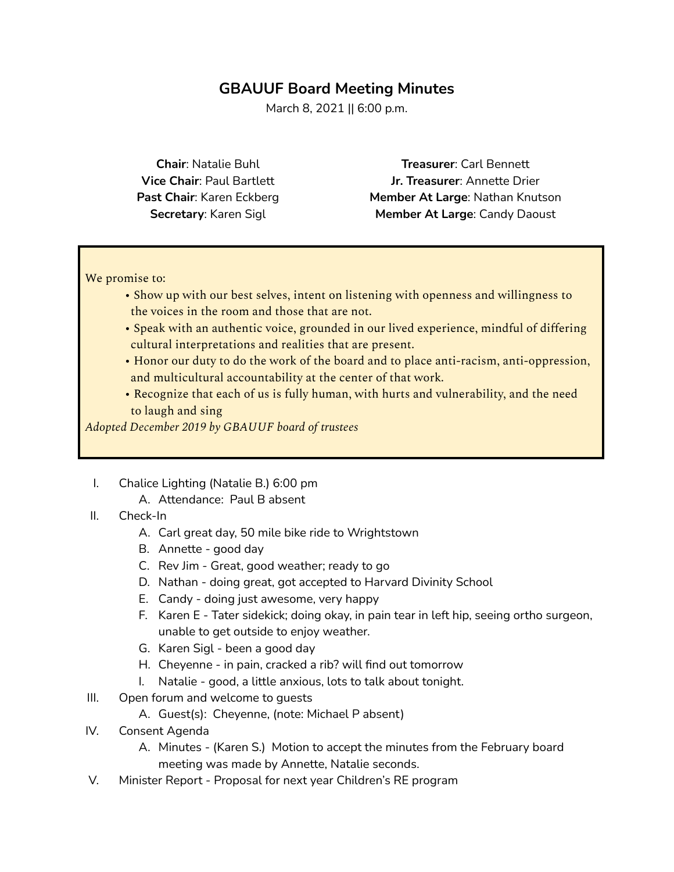### **GBAUUF Board Meeting Minutes**

March 8, 2021 || 6:00 p.m.

**Chair**: Natalie Buhl **Vice Chair**: Paul Bartlett **Past Chair**: Karen Eckberg **Secretary**: Karen Sigl

**Treasurer**: Carl Bennett **Jr. Treasurer**: Annette Drier **Member At Large**: Nathan Knutson **Member At Large**: Candy Daoust

We promise to:

- Show up with our best selves, intent on listening with openness and willingness to the voices in the room and those that are not.
- Speak with an authentic voice, grounded in our lived experience, mindful of differing cultural interpretations and realities that are present.
- Honor our duty to do the work of the board and to place anti-racism, anti-oppression, and multicultural accountability at the center of that work.
- Recognize that each of us is fully human, with hurts and vulnerability, and the need to laugh and sing

*Adopted December 2019 by GBAUUF board of trustees*

- I. Chalice Lighting (Natalie B.) 6:00 pm
	- A. Attendance: Paul B absent
- II. Check-In
	- A. Carl great day, 50 mile bike ride to Wrightstown
	- B. Annette good day
	- C. Rev Jim Great, good weather; ready to go
	- D. Nathan doing great, got accepted to Harvard Divinity School
	- E. Candy doing just awesome, very happy
	- F. Karen E Tater sidekick; doing okay, in pain tear in left hip, seeing ortho surgeon, unable to get outside to enjoy weather.
	- G. Karen Sigl been a good day
	- H. Cheyenne in pain, cracked a rib? will find out tomorrow
	- I. Natalie good, a little anxious, lots to talk about tonight.
- III. Open forum and welcome to quests
	- A. Guest(s): Cheyenne, (note: Michael P absent)
- IV. Consent Agenda
	- A. Minutes (Karen S.) Motion to accept the minutes from the February board meeting was made by Annette, Natalie seconds.
- V. Minister Report Proposal for next year Children's RE program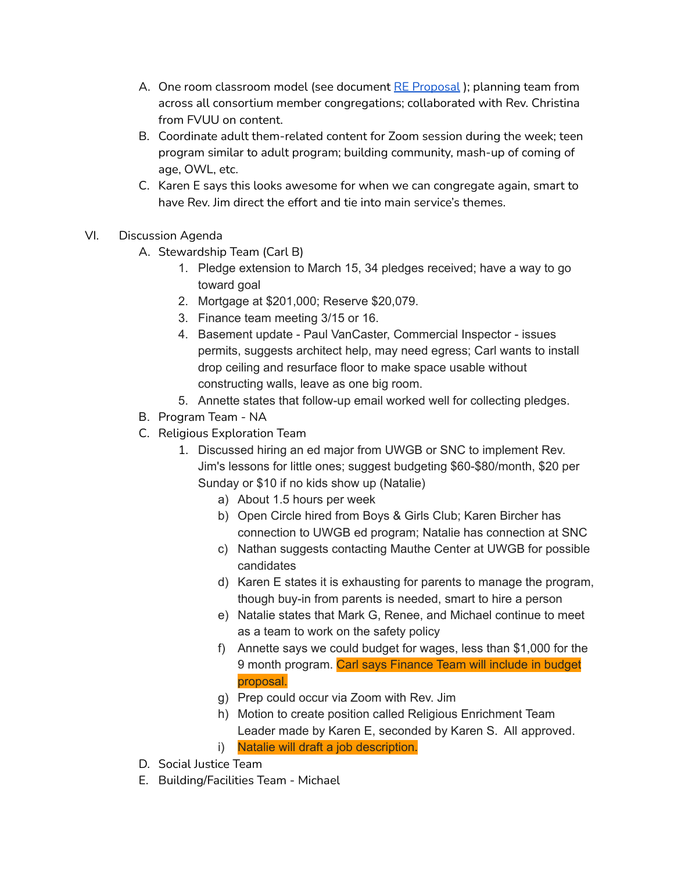- A. One room classroom model (see document RE [Proposal](https://docs.google.com/spreadsheets/d/1bPzPyU4ay7-lIO7hwqcxjeeWJQUnOZWY4M9UVYoOGn4/edit#gid=837965201)); planning team from across all consortium member congregations; collaborated with Rev. Christina from FVUU on content.
- B. Coordinate adult them-related content for Zoom session during the week; teen program similar to adult program; building community, mash-up of coming of age, OWL, etc.
- C. Karen E says this looks awesome for when we can congregate again, smart to have Rev. Jim direct the effort and tie into main service's themes.
- VI. Discussion Agenda
	- A. Stewardship Team (Carl B)
		- 1. Pledge extension to March 15, 34 pledges received; have a way to go toward goal
		- 2. Mortgage at \$201,000; Reserve \$20,079.
		- 3. Finance team meeting 3/15 or 16.
		- 4. Basement update Paul VanCaster, Commercial Inspector issues permits, suggests architect help, may need egress; Carl wants to install drop ceiling and resurface floor to make space usable without constructing walls, leave as one big room.
		- 5. Annette states that follow-up email worked well for collecting pledges.
	- B. Program Team NA
	- C. Religious Exploration Team
		- 1. Discussed hiring an ed major from UWGB or SNC to implement Rev. Jim's lessons for little ones; suggest budgeting \$60-\$80/month, \$20 per Sunday or \$10 if no kids show up (Natalie)
			- a) About 1.5 hours per week
			- b) Open Circle hired from Boys & Girls Club; Karen Bircher has connection to UWGB ed program; Natalie has connection at SNC
			- c) Nathan suggests contacting Mauthe Center at UWGB for possible candidates
			- d) Karen E states it is exhausting for parents to manage the program, though buy-in from parents is needed, smart to hire a person
			- e) Natalie states that Mark G, Renee, and Michael continue to meet as a team to work on the safety policy
			- f) Annette says we could budget for wages, less than \$1,000 for the 9 month program. Carl says Finance Team will include in budget proposal.
			- g) Prep could occur via Zoom with Rev. Jim
			- h) Motion to create position called Religious Enrichment Team Leader made by Karen E, seconded by Karen S. All approved.
			- i) Natalie will draft a job description.
	- D. Social Justice Team
	- E. Building/Facilities Team Michael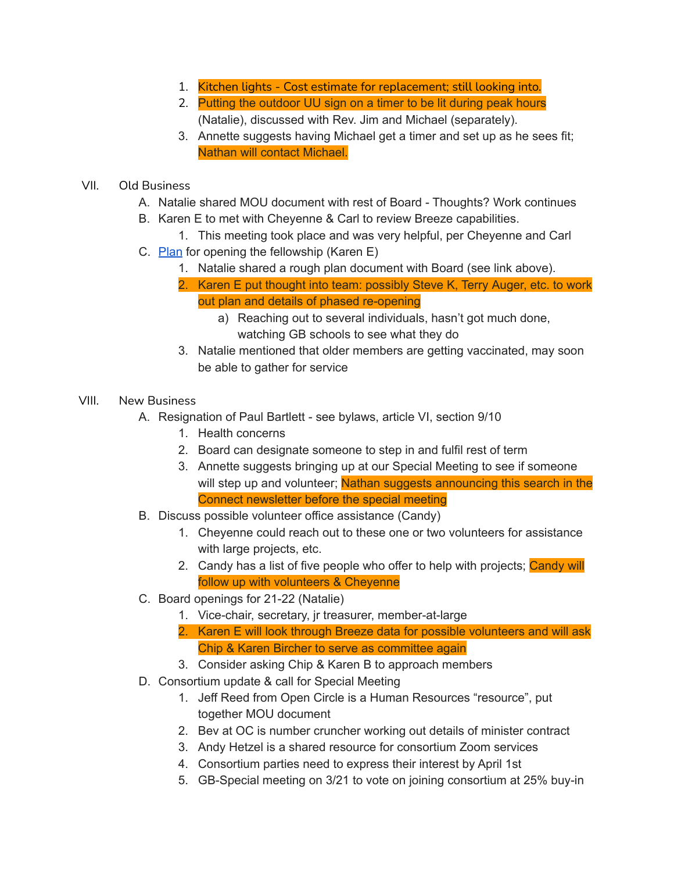- 1. Kitchen lights Cost estimate for replacement; still looking into.
- 2. Putting the outdoor UU sign on a timer to be lit during peak hours (Natalie), discussed with Rev. Jim and Michael (separately).
- 3. Annette suggests having Michael get a timer and set up as he sees fit; Nathan will contact Michael.
- VII. Old Business
	- A. Natalie shared MOU document with rest of Board Thoughts? Work continues
	- B. Karen E to met with Cheyenne & Carl to review Breeze capabilities.
		- 1. This meeting took place and was very helpful, per Cheyenne and Carl
	- C. [Plan](https://docs.google.com/document/d/1jjAVhzDvin23smwmSYkm_0pwuSdywtMCz-zqo1NywgM/edit?usp=sharinghttps://docs.google.com/document/d/1jjAVhzDvin23smwmSYkm_0pwuSdywtMCz-zqo1NywgM/edit?usp=sharing) for opening the fellowship (Karen E)
		- 1. Natalie shared a rough plan document with Board (see link above).
		- 2. Karen E put thought into team: possibly Steve K, Terry Auger, etc. to work out plan and details of phased re-opening
			- a) Reaching out to several individuals, hasn't got much done, watching GB schools to see what they do
		- 3. Natalie mentioned that older members are getting vaccinated, may soon be able to gather for service

### VIII. New Business

- A. Resignation of Paul Bartlett see bylaws, article VI, section 9/10
	- 1. Health concerns
	- 2. Board can designate someone to step in and fulfil rest of term
	- 3. Annette suggests bringing up at our Special Meeting to see if someone will step up and volunteer; Nathan suggests announcing this search in the Connect newsletter before the special meeting
- B. Discuss possible volunteer office assistance (Candy)
	- 1. Cheyenne could reach out to these one or two volunteers for assistance with large projects, etc.
	- 2. Candy has a list of five people who offer to help with projects; Candy will follow up with volunteers & Cheyenne
- C. Board openings for 21-22 (Natalie)
	- 1. Vice-chair, secretary, jr treasurer, member-at-large
	- 2. Karen E will look through Breeze data for possible volunteers and will ask Chip & Karen Bircher to serve as committee again
	- 3. Consider asking Chip & Karen B to approach members
- D. Consortium update & call for Special Meeting
	- 1. Jeff Reed from Open Circle is a Human Resources "resource", put together MOU document
	- 2. Bev at OC is number cruncher working out details of minister contract
	- 3. Andy Hetzel is a shared resource for consortium Zoom services
	- 4. Consortium parties need to express their interest by April 1st
	- 5. GB-Special meeting on 3/21 to vote on joining consortium at 25% buy-in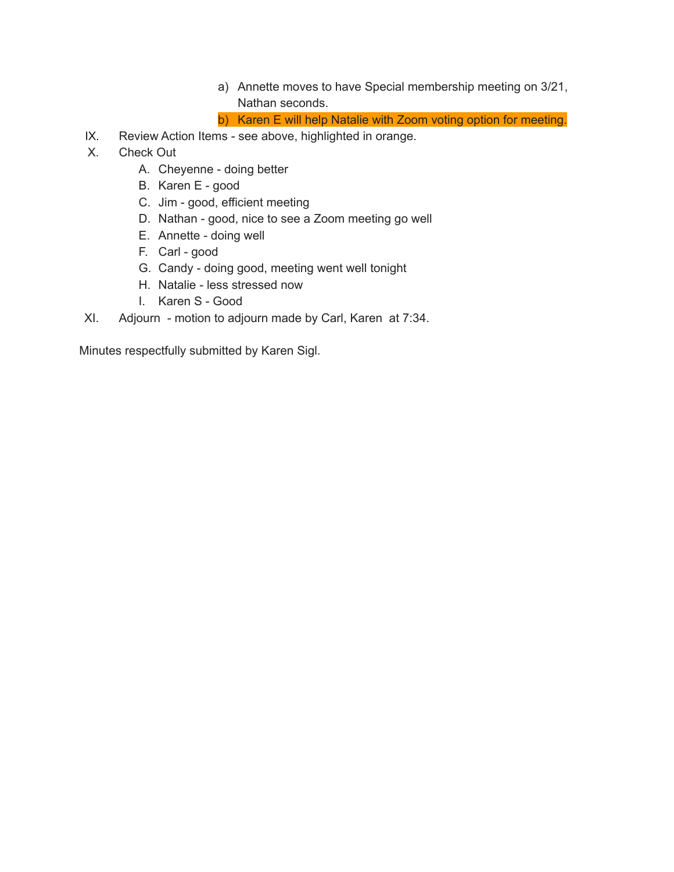- a) Annette moves to have Special membership meeting on 3/21, Nathan seconds.
- b) Karen E will help Natalie with Zoom voting option for meeting.
- IX. Review Action Items see above, highlighted in orange.
- X. Check Out
	- A. Cheyenne doing better
	- B. Karen E good
	- C. Jim good, efficient meeting
	- D. Nathan good, nice to see a Zoom meeting go well
	- E. Annette doing well
	- F. Carl good
	- G. Candy doing good, meeting went well tonight
	- H. Natalie less stressed now
	- I. Karen S Good
- XI. Adjourn motion to adjourn made by Carl, Karen at 7:34.

Minutes respectfully submitted by Karen Sigl.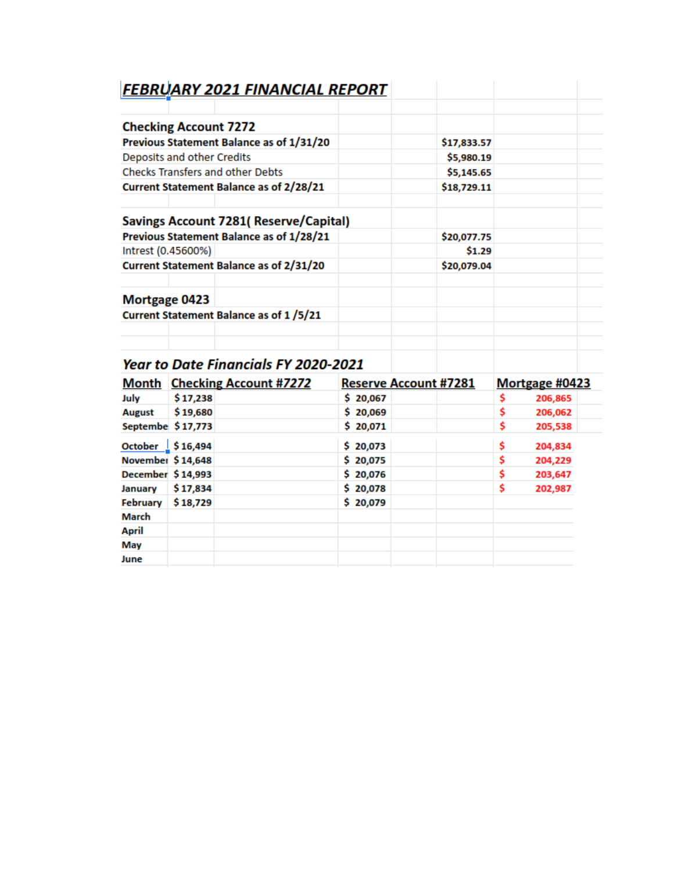| <b>FEBRUARY 2021 FINANCIAL REPORT</b>           |             |  |
|-------------------------------------------------|-------------|--|
| <b>Checking Account 7272</b>                    |             |  |
| <b>Previous Statement Balance as of 1/31/20</b> | \$17,833.57 |  |
| Deposits and other Credits                      | \$5,980.19  |  |
| <b>Checks Transfers and other Debts</b>         | \$5,145.65  |  |
| Current Statement Balance as of 2/28/21         | \$18,729.11 |  |
| <b>Savings Account 7281( Reserve/Capital)</b>   |             |  |
| Previous Statement Balance as of 1/28/21        | \$20,077.75 |  |
| Intrest (0.45600%)                              | \$1.29      |  |
| <b>Current Statement Balance as of 2/31/20</b>  | \$20,079.04 |  |
| <b>Mortgage 0423</b>                            |             |  |
| Current Statement Balance as of 1/5/21          |             |  |
|                                                 |             |  |
|                                                 |             |  |

# **Year to Date Financials FY 2020-2021**

|                                | <b>Month</b> Checking Account #7272 | <b>Reserve Account #7281</b> | Mortgage #0423 |
|--------------------------------|-------------------------------------|------------------------------|----------------|
| July                           | \$17,238                            | \$20,067                     | \$<br>206,865  |
| <b>August</b>                  | \$19,680                            | \$20,069                     | s<br>206,062   |
| Septembe \$17,773              |                                     | \$20,071                     | \$<br>205,538  |
| October $\frac{1}{2}$ \$16,494 |                                     | \$20,073                     | \$<br>204,834  |
| November \$14,648              |                                     | \$20,075                     | \$<br>204,229  |
| December \$14,993              |                                     | \$20,076                     | \$<br>203,647  |
| January                        | \$17,834                            | \$20,078                     | \$<br>202,987  |
| February                       | \$18,729                            | \$20,079                     |                |
| March                          |                                     |                              |                |
| <b>April</b>                   |                                     |                              |                |
| May                            |                                     |                              |                |
| June                           |                                     |                              |                |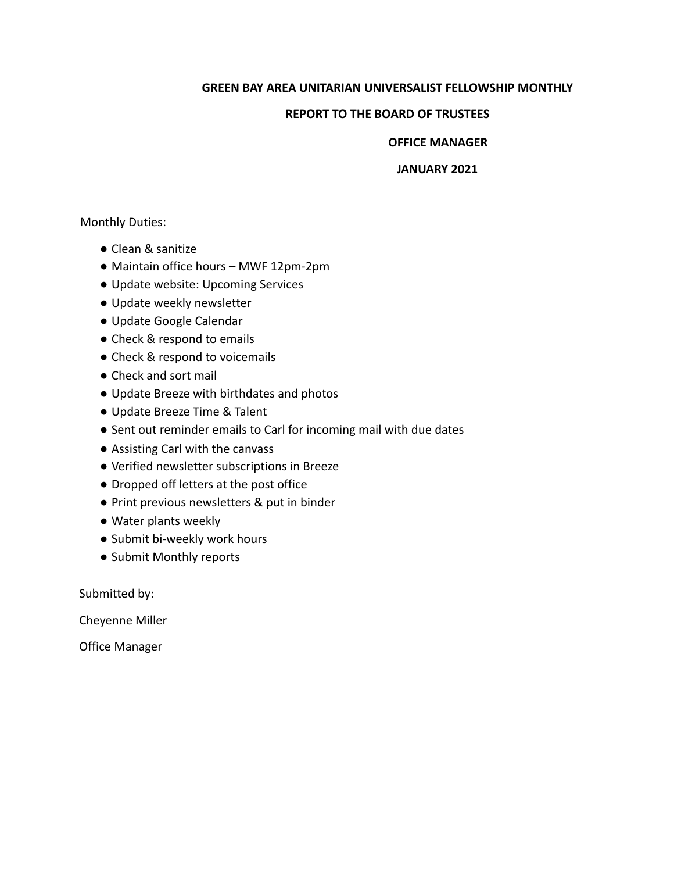#### **GREEN BAY AREA UNITARIAN UNIVERSALIST FELLOWSHIP MONTHLY**

#### **REPORT TO THE BOARD OF TRUSTEES**

#### **OFFICE MANAGER**

#### **JANUARY 2021**

#### Monthly Duties:

- Clean & sanitize
- Maintain office hours MWF 12pm-2pm
- Update website: Upcoming Services
- Update weekly newsletter
- Update Google Calendar
- Check & respond to emails
- Check & respond to voicemails
- Check and sort mail
- Update Breeze with birthdates and photos
- Update Breeze Time & Talent
- Sent out reminder emails to Carl for incoming mail with due dates
- Assisting Carl with the canvass
- Verified newsletter subscriptions in Breeze
- Dropped off letters at the post office
- Print previous newsletters & put in binder
- Water plants weekly
- Submit bi-weekly work hours
- Submit Monthly reports

Submitted by:

Cheyenne Miller

Office Manager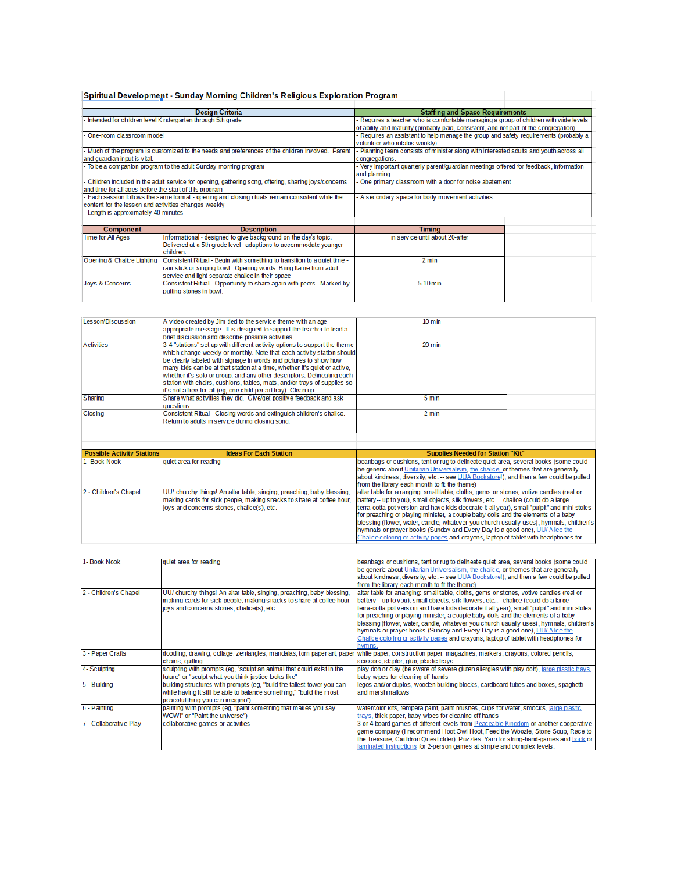#### Spiritual Development - Sunday Morning Children's Religious Exploration Program

| <b>Design Criteria</b>                                       |                                                                                                       | <b>Staffing and Space Requirements</b>                                                                                                                                           |  |
|--------------------------------------------------------------|-------------------------------------------------------------------------------------------------------|----------------------------------------------------------------------------------------------------------------------------------------------------------------------------------|--|
| - Intended for children level Kindergarten through 5th grade |                                                                                                       | - Requires a teacher who is comfortable managing a group of children with wide levels                                                                                            |  |
|                                                              |                                                                                                       | of ability and maturity (probably paid, consistent, and not part of the congregation)                                                                                            |  |
| - One-room classroom model                                   |                                                                                                       | - Requires an assistant to help manage the group and safety requirements (probably a                                                                                             |  |
|                                                              |                                                                                                       | volunteer who rotates weekly)                                                                                                                                                    |  |
|                                                              | - Much of the program is customized to the needs and preferences of the children involved. Parent     | - Planning team consists of minister along with interested adults and youth across all                                                                                           |  |
| and quardian input is vital.                                 |                                                                                                       | congregations.                                                                                                                                                                   |  |
|                                                              | - To be a companion program to the adult Sunday morning program                                       | - Very important quarterly parent/quardian meetings offered for feedback, information                                                                                            |  |
|                                                              |                                                                                                       |                                                                                                                                                                                  |  |
|                                                              |                                                                                                       | and planning.                                                                                                                                                                    |  |
|                                                              | - Children included in the adult service for opening, gathering song, offering, sharing joys/concerns | One primary classroom with a door for noise abatement                                                                                                                            |  |
| and time for all ages before the start of this program       |                                                                                                       |                                                                                                                                                                                  |  |
|                                                              | - Each session follows the same format - opening and closing rituals remain consistent while the      | A secondary space for body movement activities                                                                                                                                   |  |
| content for the lesson and activities changes weekly         |                                                                                                       |                                                                                                                                                                                  |  |
| - Length is approximately 40 minutes                         |                                                                                                       |                                                                                                                                                                                  |  |
|                                                              |                                                                                                       |                                                                                                                                                                                  |  |
| <b>Component</b>                                             | <b>Description</b>                                                                                    | <b>Timing</b>                                                                                                                                                                    |  |
| <b>Time for All Ages</b>                                     | Informational - designed to give background on the day's topic.                                       | in service until about 20-after                                                                                                                                                  |  |
|                                                              | Delivered at a 5th grade level - adaptions to accommodate younger                                     |                                                                                                                                                                                  |  |
|                                                              | children.                                                                                             |                                                                                                                                                                                  |  |
| Opening & Chalice Lighting                                   | Consistent Ritual - Begin with something to transition to a quiet time -                              | 2 min                                                                                                                                                                            |  |
|                                                              | rain stick or singing bowl. Opening words. Bring flame from adult                                     |                                                                                                                                                                                  |  |
|                                                              | service and light separate chalice in their space                                                     |                                                                                                                                                                                  |  |
| Jovs & Concerns                                              | Consistent Ritual - Opportunity to share again with peers. Marked by                                  | 5-10 min                                                                                                                                                                         |  |
|                                                              | putting stones in bowl.                                                                               |                                                                                                                                                                                  |  |
|                                                              |                                                                                                       |                                                                                                                                                                                  |  |
|                                                              |                                                                                                       |                                                                                                                                                                                  |  |
|                                                              |                                                                                                       |                                                                                                                                                                                  |  |
| <b>Lesson/Discussion</b>                                     |                                                                                                       | $10 \text{ min}$                                                                                                                                                                 |  |
|                                                              | A video created by Jim tied to the service theme with an age                                          |                                                                                                                                                                                  |  |
|                                                              | appropriate message. It is designed to support the teacher to lead a                                  |                                                                                                                                                                                  |  |
|                                                              | brief discussion and describe possible activities.                                                    |                                                                                                                                                                                  |  |
| <b>Activities</b>                                            | 3-4 "stations" set up with different activity options to support the theme                            | $20 \text{ min}$                                                                                                                                                                 |  |
|                                                              | which change weekly or monthly. Note that each activity station should                                |                                                                                                                                                                                  |  |
|                                                              | be clearly labeled with signage in words and pictures to show how                                     |                                                                                                                                                                                  |  |
|                                                              | many kids can be at that station at a time, whether it's quiet or active,                             |                                                                                                                                                                                  |  |
|                                                              | whether it's solo or group, and any other descriptors. Delineating each                               |                                                                                                                                                                                  |  |
|                                                              | station with chairs, cushions, tables, mats, and/or trays of supplies so                              |                                                                                                                                                                                  |  |
|                                                              | it's not a free-for-all (eg, one child per art tray) Clean up.                                        |                                                                                                                                                                                  |  |
| Sharing                                                      | Share what activities they did. Give/get positive feedback and ask                                    | 5 min                                                                                                                                                                            |  |
|                                                              | questions.                                                                                            |                                                                                                                                                                                  |  |
| Closing                                                      | Consistent Ritual - Closing words and extinguish children's chalice.                                  | 2 min                                                                                                                                                                            |  |
|                                                              | Return to adults in service during closing song.                                                      |                                                                                                                                                                                  |  |
|                                                              |                                                                                                       |                                                                                                                                                                                  |  |
|                                                              |                                                                                                       |                                                                                                                                                                                  |  |
|                                                              |                                                                                                       |                                                                                                                                                                                  |  |
| <b>Possible Activity Stations</b>                            | <b>Ideas For Each Station</b>                                                                         | <b>Supplies Needed for Station "Kit"</b>                                                                                                                                         |  |
| 1- Book Nook                                                 | quiet area for reading                                                                                | beanbags or cushions, tent or rug to delineate quiet area, several books (some could<br>be generic about Unitarian Universalism, the chalice, or themes that are generally       |  |
|                                                              |                                                                                                       |                                                                                                                                                                                  |  |
|                                                              |                                                                                                       | about kindness, diversity, etc. -- see UUA Bookstore!), and then a few could be pulled                                                                                           |  |
|                                                              |                                                                                                       | from the library each month to fit the theme)                                                                                                                                    |  |
| 2 - Children's Chapel                                        | UU/ churchy things! An altar table, singing, preaching, baby blessing,                                | altar table for arranging: small table, cloths, gems or stones, votive candles (real or                                                                                          |  |
|                                                              | making cards for sick people, making snacks to share at coffee hour,                                  | battery-- up to you), small objects, silk flowers, etc chalice (could do a large                                                                                                 |  |
|                                                              |                                                                                                       |                                                                                                                                                                                  |  |
|                                                              | joys and concerns stones, chalice(s), etc.                                                            | terra-cotta pot version and have kids decorate it all year), small "pulpit" and mini stoles<br>for preaching or playing minister, a couple baby dolls and the elements of a baby |  |
|                                                              |                                                                                                       |                                                                                                                                                                                  |  |
|                                                              |                                                                                                       | blessing (flower, water, candle, whatever you church usually uses), hymnals, children's                                                                                          |  |
|                                                              |                                                                                                       | hymnals or prayer books (Sunday and Every Day is a good one), UU/ Alice the                                                                                                      |  |
|                                                              |                                                                                                       | Chalice coloring or activity pages and crayons, laptop of tablet with headphones for                                                                                             |  |

| 1- Book Nook           | quiet area for reading                                                  | beanbags or cushions, tent or rug to delineate quiet area, several books (some could        |
|------------------------|-------------------------------------------------------------------------|---------------------------------------------------------------------------------------------|
|                        |                                                                         | be generic about Unitarian Universalism, the chalice, or themes that are generally          |
|                        |                                                                         | about kindness, diversity, etc. -- see UUA Bookstore!), and then a few could be pulled      |
|                        |                                                                         | from the library each month to fit the theme)                                               |
| 2 - Children's Chapel  | UU/ churchy things! An altar table, singing, preaching, baby blessing,  | altar table for arranging: small table, cloths, gems or stones, votive candles (real or     |
|                        | making cards for sick people, making snacks to share at coffee hour,    | battery-- up to you), small objects, silk flowers, etc chalice (could do a large            |
|                        | joys and concerns stones, chalice(s), etc.                              | terra-cotta pot version and have kids decorate it all year), small "pulpit" and mini stoles |
|                        |                                                                         | for preaching or playing minister, a couple baby dolls and the elements of a baby           |
|                        |                                                                         | blessing (flower, water, candle, whatever you church usually uses), hymnals, children's     |
|                        |                                                                         | hymnals or prayer books (Sunday and Every Day is a good one), UU/ Alice the                 |
|                        |                                                                         | Chalice coloring or activity pages and crayons, laptop of tablet with headphones for        |
|                        |                                                                         | hymns.                                                                                      |
| 3 - Paper Crafts       | doodling, drawing, collage, zentangles, mandalas, torn paper art, paper | white paper, construction paper, magazines, markers, crayons, colored pencils,              |
|                        | chains, quilling                                                        | scissors, stapler, glue, plastic trays                                                      |
| 4- Sculpting           | sculpting with prompts (eg, "sculpt an animal that could exist in the   | play doh or clay (be aware of severe gluten allergies with play doh), large plastic trays,  |
|                        | future" or "sculpt what you think justice looks like"                   | baby wipes for cleaning off hands                                                           |
| 5 - Building           | building structures with prompts (eg, "build the tallest tower you can  | legos and/or duplos, wooden building blocks, cardboard tubes and boxes, spaghetti           |
|                        | while having it still be able to balance something," "build the most    | and marshmallows                                                                            |
|                        | peaceful thing you can imagine")                                        |                                                                                             |
| 6 - Painting           | painting with prompts (eg, "paint something that makes you say          | watercolor kits, tempera paint, paint brushes, cups for water, smocks, large plastic        |
|                        | WOW!" or "Paint the universe")                                          | trays, thick paper, baby wipes for cleaning off hands                                       |
| 7 - Collaborative Play | collaborative games or activities                                       | 3 or 4 board games of different levels from Peaceable Kingdom or another cooperative        |
|                        |                                                                         | game company (I recommend Hoot Owl Hoot, Feed the Woozle, Stone Soup, Race to               |
|                        |                                                                         | the Treasure, Cauldron Ouest older), Puzzles, Yarn for string-hand-games and book or        |
|                        |                                                                         | laminated instructions for 2-person games at simple and complex levels.                     |
|                        |                                                                         |                                                                                             |